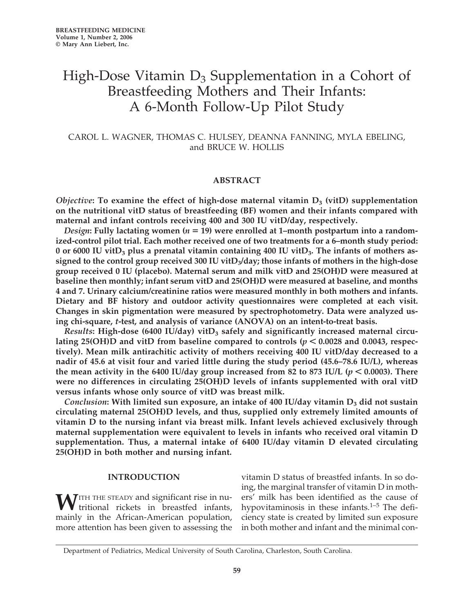# High-Dose Vitamin  $D_3$  Supplementation in a Cohort of Breastfeeding Mothers and Their Infants: A 6-Month Follow-Up Pilot Study

# CAROL L. WAGNER, THOMAS C. HULSEY, DEANNA FANNING, MYLA EBELING, and BRUCE W. HOLLIS

## **ABSTRACT**

*Objective*: To examine the effect of high-dose maternal vitamin  $D_3$  (vitD) supplementation **on the nutritional vitD status of breastfeeding (BF) women and their infants compared with maternal and infant controls receiving 400 and 300 IU vitD/day, respectively.**

*Design*: Fully lactating women (*n* = 19) were enrolled at 1–month postpartum into a random**ized-control pilot trial. Each mother received one of two treatments for a 6–month study period:** 0 or 6000 IU vitD<sub>3</sub> plus a prenatal vitamin containing 400 IU vitD<sub>3</sub>. The infants of mothers as**signed to the control group received 300 IU vitD3/day; those infants of mothers in the high-dose group received 0 IU (placebo). Maternal serum and milk vitD and 25(OH)D were measured at baseline then monthly; infant serum vitD and 25(OH)D were measured at baseline, and months 4 and 7. Urinary calcium/creatinine ratios were measured monthly in both mothers and infants. Dietary and BF history and outdoor activity questionnaires were completed at each visit. Changes in skin pigmentation were measured by spectrophotometry. Data were analyzed using chi-square,** *t***-test, and analysis of variance (ANOVA) on an intent-to-treat basis.**

Results: High-dose (6400 IU/day) vitD<sub>3</sub> safely and significantly increased maternal circulating 25(OH)D and vitD from baseline compared to controls ( $p < 0.0028$  and 0.0043, respec**tively). Mean milk antirachitic activity of mothers receiving 400 IU vitD/day decreased to a nadir of 45.6 at visit four and varied little during the study period (45.6–78.6 IU/L), whereas** the mean activity in the 6400 IU/day group increased from 82 to 873 IU/L ( $p < 0.0003$ ). There **were no differences in circulating 25(OH)D levels of infants supplemented with oral vitD versus infants whose only source of vitD was breast milk.**

*Conclusion*: With limited sun exposure, an intake of 400 IU/day vitamin D<sub>3</sub> did not sustain **circulating maternal 25(OH)D levels, and thus, supplied only extremely limited amounts of vitamin D to the nursing infant via breast milk. Infant levels achieved exclusively through maternal supplementation were equivalent to levels in infants who received oral vitamin D supplementation. Thus, a maternal intake of 6400 IU/day vitamin D elevated circulating 25(OH)D in both mother and nursing infant.**

# **INTRODUCTION**

WITH THE STEADY and significant rise in nutritional rickets in breastfed infants, mainly in the African-American population, more attention has been given to assessing the

vitamin D status of breastfed infants. In so doing, the marginal transfer of vitamin D in mothers' milk has been identified as the cause of hypovitaminosis in these infants.<sup>1–5</sup> The deficiency state is created by limited sun exposure in both mother and infant and the minimal con-

Department of Pediatrics, Medical University of South Carolina, Charleston, South Carolina.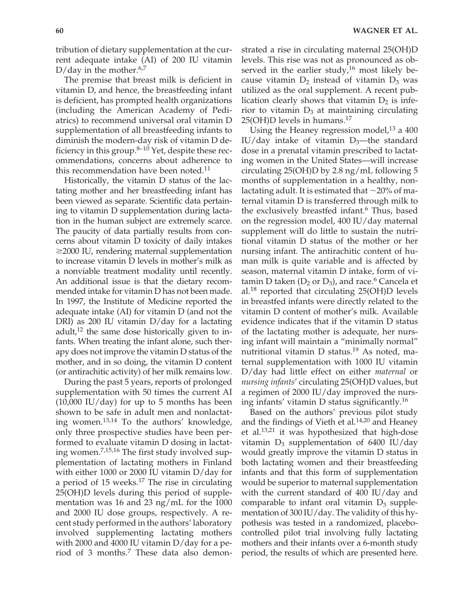tribution of dietary supplementation at the current adequate intake (AI) of 200 IU vitamin D/day in the mother.<sup>6,7</sup>

The premise that breast milk is deficient in vitamin D, and hence, the breastfeeding infant is deficient, has prompted health organizations (including the American Academy of Pediatrics) to recommend universal oral vitamin D supplementation of all breastfeeding infants to diminish the modern-day risk of vitamin D deficiency in this group. $8-10$  Yet, despite these recommendations, concerns about adherence to this recommendation have been noted.<sup>11</sup>

Historically, the vitamin D status of the lactating mother and her breastfeeding infant has been viewed as separate. Scientific data pertaining to vitamin D supplementation during lactation in the human subject are extremely scarce. The paucity of data partially results from concerns about vitamin D toxicity of daily intakes -2000 IU, rendering maternal supplementation to increase vitamin D levels in mother's milk as a nonviable treatment modality until recently. An additional issue is that the dietary recommended intake for vitamin D has not been made. In 1997, the Institute of Medicine reported the adequate intake (AI) for vitamin D (and not the DRI) as 200 IU vitamin D/day for a lactating adult, $12$  the same dose historically given to infants. When treating the infant alone, such therapy does not improve the vitamin D status of the mother, and in so doing, the vitamin D content (or antirachitic activity) of her milk remains low.

During the past 5 years, reports of prolonged supplementation with 50 times the current AI  $(10,000 \text{ IU/day})$  for up to 5 months has been shown to be safe in adult men and nonlactating women.13,14 To the authors' knowledge, only three prospective studies have been performed to evaluate vitamin D dosing in lactating women.7,15,16 The first study involved supplementation of lactating mothers in Finland with either 1000 or 2000 IU vitamin D/day for a period of 15 weeks. $17$  The rise in circulating 25(OH)D levels during this period of supplementation was 16 and 23 ng/mL for the 1000 and 2000 IU dose groups, respectively. A recent study performed in the authors' laboratory involved supplementing lactating mothers with 2000 and 4000 IU vitamin D/day for a period of 3 months.7 These data also demonstrated a rise in circulating maternal 25(OH)D levels. This rise was not as pronounced as observed in the earlier study,<sup>16</sup> most likely because vitamin  $D_2$  instead of vitamin  $D_3$  was utilized as the oral supplement. A recent publication clearly shows that vitamin  $D_2$  is inferior to vitamin  $D_3$  at maintaining circulating  $25(OH)D$  levels in humans.<sup>17</sup>

Using the Heaney regression model, $13$  a 400 IU/day intake of vitamin  $D_3$ —the standard dose in a prenatal vitamin prescribed to lactating women in the United States—will increase circulating 25(OH)D by 2.8 ng/mL following 5 months of supplementation in a healthy, nonlactating adult. It is estimated that  $\sim$ 20% of maternal vitamin D is transferred through milk to the exclusively breastfed infant.<sup>6</sup> Thus, based on the regression model, 400 IU/day maternal supplement will do little to sustain the nutritional vitamin D status of the mother or her nursing infant. The antirachitic content of human milk is quite variable and is affected by season, maternal vitamin D intake, form of vitamin D taken ( $D_2$  or  $D_3$ ), and race.<sup>6</sup> Cancela et al.<sup>18</sup> reported that circulating 25(OH)D levels in breastfed infants were directly related to the vitamin D content of mother's milk. Available evidence indicates that if the vitamin D status of the lactating mother is adequate, her nursing infant will maintain a "minimally normal" nutritional vitamin D status.<sup>19</sup> As noted, maternal supplementation with 1000 IU vitamin D/day had little effect on either *maternal* or *nursing infants*' circulating 25(OH)D values, but a regimen of 2000 IU/day improved the nursing infants' vitamin D status significantly.16

Based on the authors' previous pilot study and the findings of Vieth et al. $14,20$  and Heaney et al.13,21 it was hypothesized that high-dose vitamin  $D_3$  supplementation of 6400 IU/day would greatly improve the vitamin D status in both lactating women and their breastfeeding infants and that this form of supplementation would be superior to maternal supplementation with the current standard of 400 IU/day and comparable to infant oral vitamin  $D_3$  supplementation of 300 IU/day. The validity of this hypothesis was tested in a randomized, placebocontrolled pilot trial involving fully lactating mothers and their infants over a 6-month study period, the results of which are presented here.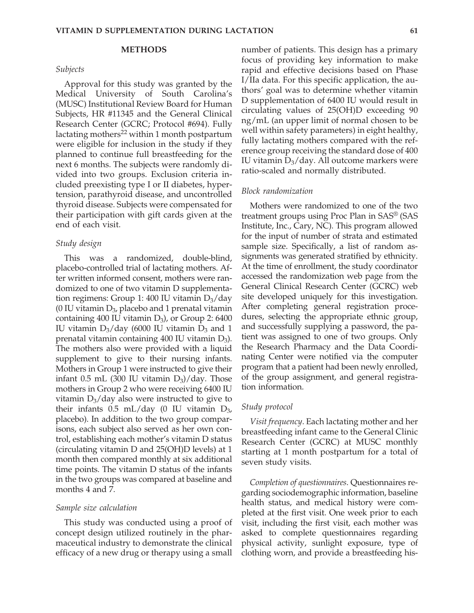# **METHODS**

#### *Subjects*

Approval for this study was granted by the Medical University of South Carolina's (MUSC) Institutional Review Board for Human Subjects, HR #11345 and the General Clinical Research Center (GCRC; Protocol #694). Fully lactating mothers $^{22}$  within 1 month postpartum were eligible for inclusion in the study if they planned to continue full breastfeeding for the next 6 months. The subjects were randomly divided into two groups. Exclusion criteria included preexisting type I or II diabetes, hypertension, parathyroid disease, and uncontrolled thyroid disease. Subjects were compensated for their participation with gift cards given at the end of each visit.

#### *Study design*

This was a randomized, double-blind, placebo-controlled trial of lactating mothers. After written informed consent, mothers were randomized to one of two vitamin D supplementation regimens: Group 1: 400 IU vitamin  $D_3$ /day (0 IU vitamin  $D_3$ , placebo and 1 prenatal vitamin containing 400 IU vitamin  $D_3$ ), or Group 2: 6400 IU vitamin  $D_3$ /day (6000 IU vitamin  $D_3$  and 1 prenatal vitamin containing 400 IU vitamin D<sub>3</sub>). The mothers also were provided with a liquid supplement to give to their nursing infants. Mothers in Group 1 were instructed to give their infant  $0.5$  mL (300 IU vitamin  $D_3$ )/day. Those mothers in Group 2 who were receiving 6400 IU vitamin  $D_3$ /day also were instructed to give to their infants  $0.5$  mL/day (0 IU vitamin  $D_{3}$ , placebo). In addition to the two group comparisons, each subject also served as her own control, establishing each mother's vitamin D status (circulating vitamin D and 25(OH)D levels) at 1 month then compared monthly at six additional time points. The vitamin D status of the infants in the two groups was compared at baseline and months 4 and 7.

#### *Sample size calculation*

This study was conducted using a proof of concept design utilized routinely in the pharmaceutical industry to demonstrate the clinical efficacy of a new drug or therapy using a small

number of patients. This design has a primary focus of providing key information to make rapid and effective decisions based on Phase I/IIa data. For this specific application, the authors' goal was to determine whether vitamin D supplementation of 6400 IU would result in circulating values of 25(OH)D exceeding 90 ng/mL (an upper limit of normal chosen to be well within safety parameters) in eight healthy, fully lactating mothers compared with the reference group receiving the standard dose of 400 IU vitamin  $D_3$ /day. All outcome markers were ratio-scaled and normally distributed.

#### *Block randomization*

Mothers were randomized to one of the two treatment groups using Proc Plan in SAS® (SAS Institute, Inc., Cary, NC). This program allowed for the input of number of strata and estimated sample size. Specifically, a list of random assignments was generated stratified by ethnicity. At the time of enrollment, the study coordinator accessed the randomization web page from the General Clinical Research Center (GCRC) web site developed uniquely for this investigation. After completing general registration procedures, selecting the appropriate ethnic group, and successfully supplying a password, the patient was assigned to one of two groups. Only the Research Pharmacy and the Data Coordinating Center were notified via the computer program that a patient had been newly enrolled, of the group assignment, and general registration information.

#### *Study protocol*

*Visit frequency*. Each lactating mother and her breastfeeding infant came to the General Clinic Research Center (GCRC) at MUSC monthly starting at 1 month postpartum for a total of seven study visits.

*Completion of questionnaires*. Questionnaires regarding sociodemographic information, baseline health status, and medical history were completed at the first visit. One week prior to each visit, including the first visit, each mother was asked to complete questionnaires regarding physical activity, sunlight exposure, type of clothing worn, and provide a breastfeeding his-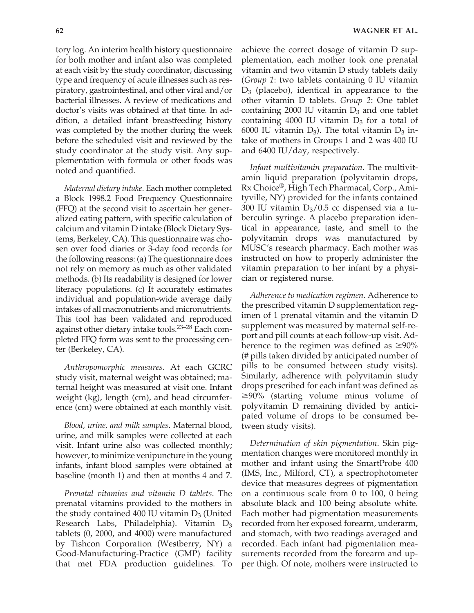tory log. An interim health history questionnaire for both mother and infant also was completed at each visit by the study coordinator, discussing type and frequency of acute illnesses such as respiratory, gastrointestinal, and other viral and/or bacterial illnesses. A review of medications and doctor's visits was obtained at that time. In addition, a detailed infant breastfeeding history was completed by the mother during the week before the scheduled visit and reviewed by the study coordinator at the study visit. Any supplementation with formula or other foods was noted and quantified.

*Maternal dietary intake*. Each mother completed a Block 1998.2 Food Frequency Questionnaire (FFQ) at the second visit to ascertain her generalized eating pattern, with specific calculation of calcium and vitamin D intake (Block Dietary Systems, Berkeley, CA). This questionnaire was chosen over food diaries or 3-day food records for the following reasons: (a) The questionnaire does not rely on memory as much as other validated methods. (b) Its readability is designed for lower literacy populations. (c) It accurately estimates individual and population-wide average daily intakes of all macronutrients and micronutrients. This tool has been validated and reproduced against other dietary intake tools.23–28 Each completed FFQ form was sent to the processing center (Berkeley, CA).

*Anthropomorphic measures*. At each GCRC study visit, maternal weight was obtained; maternal height was measured at visit one. Infant weight (kg), length (cm), and head circumference (cm) were obtained at each monthly visit.

*Blood, urine, and milk samples*. Maternal blood, urine, and milk samples were collected at each visit. Infant urine also was collected monthly; however, to minimize venipuncture in the young infants, infant blood samples were obtained at baseline (month 1) and then at months 4 and 7.

*Prenatal vitamins and vitamin D tablets*. The prenatal vitamins provided to the mothers in the study contained 400 IU vitamin  $D_3$  (United Research Labs, Philadelphia). Vitamin D<sub>3</sub> tablets (0, 2000, and 4000) were manufactured by Tishcon Corporation (Westberry, NY) a Good-Manufacturing-Practice (GMP) facility that met FDA production guidelines. To achieve the correct dosage of vitamin D supplementation, each mother took one prenatal vitamin and two vitamin D study tablets daily (*Group 1*: two tablets containing 0 IU vitamin  $D_3$  (placebo), identical in appearance to the other vitamin D tablets. *Group 2*: One tablet containing 2000 IU vitamin  $D_3$  and one tablet containing 4000 IU vitamin  $D_3$  for a total of 6000 IU vitamin  $D_3$ ). The total vitamin  $D_3$  intake of mothers in Groups 1 and 2 was 400 IU and 6400 IU/day, respectively.

*Infant multivitamin preparation*. The multivitamin liquid preparation (polyvitamin drops, Rx Choice®, High Tech Pharmacal, Corp., Amityville, NY) provided for the infants contained 300 IU vitamin  $D_3/0.5$  cc dispensed via a tuberculin syringe. A placebo preparation identical in appearance, taste, and smell to the polyvitamin drops was manufactured by MUSC's research pharmacy. Each mother was instructed on how to properly administer the vitamin preparation to her infant by a physician or registered nurse.

*Adherence to medication regimen*. Adherence to the prescribed vitamin D supplementation regimen of 1 prenatal vitamin and the vitamin D supplement was measured by maternal self-report and pill counts at each follow-up visit. Adherence to the regimen was defined as  $\geq$ 90% (# pills taken divided by anticipated number of pills to be consumed between study visits). Similarly, adherence with polyvitamin study drops prescribed for each infant was defined as -90% (starting volume minus volume of polyvitamin D remaining divided by anticipated volume of drops to be consumed between study visits).

*Determination of skin pigmentation*. Skin pigmentation changes were monitored monthly in mother and infant using the SmartProbe 400 (IMS, Inc., Milford, CT), a spectrophotometer device that measures degrees of pigmentation on a continuous scale from 0 to 100, 0 being absolute black and 100 being absolute white. Each mother had pigmentation measurements recorded from her exposed forearm, underarm, and stomach, with two readings averaged and recorded. Each infant had pigmentation measurements recorded from the forearm and upper thigh. Of note, mothers were instructed to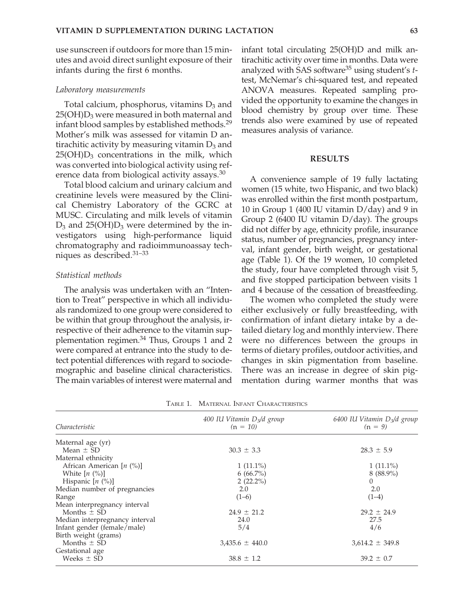use sunscreen if outdoors for more than 15 minutes and avoid direct sunlight exposure of their infants during the first 6 months.

#### *Laboratory measurements*

Total calcium, phosphorus, vitamins  $D_3$  and  $25(OH)D<sub>3</sub>$  were measured in both maternal and infant blood samples by established methods.29 Mother's milk was assessed for vitamin D antirachitic activity by measuring vitamin  $D_3$  and  $25(OH)D<sub>3</sub>$  concentrations in the milk, which was converted into biological activity using reference data from biological activity assays.<sup>30</sup>

Total blood calcium and urinary calcium and creatinine levels were measured by the Clinical Chemistry Laboratory of the GCRC at MUSC. Circulating and milk levels of vitamin  $D_3$  and 25(OH) $D_3$  were determined by the investigators using high-performance liquid chromatography and radioimmunoassay techniques as described.31–33

#### *Statistical methods*

The analysis was undertaken with an "Intention to Treat" perspective in which all individuals randomized to one group were considered to be within that group throughout the analysis, irrespective of their adherence to the vitamin supplementation regimen.<sup>34</sup> Thus, Groups 1 and 2 were compared at entrance into the study to detect potential differences with regard to sociodemographic and baseline clinical characteristics. The main variables of interest were maternal and infant total circulating 25(OH)D and milk antirachitic activity over time in months. Data were analyzed with SAS software<sup>35</sup> using student's *t*test, McNemar's chi-squared test, and repeated ANOVA measures. Repeated sampling provided the opportunity to examine the changes in blood chemistry by group over time. These trends also were examined by use of repeated measures analysis of variance.

#### **RESULTS**

A convenience sample of 19 fully lactating women (15 white, two Hispanic, and two black) was enrolled within the first month postpartum, 10 in Group 1 (400 IU vitamin  $D/day$ ) and 9 in Group 2 (6400 IU vitamin D/day). The groups did not differ by age, ethnicity profile, insurance status, number of pregnancies, pregnancy interval, infant gender, birth weight, or gestational age (Table 1). Of the 19 women, 10 completed the study, four have completed through visit 5, and five stopped participation between visits 1 and 4 because of the cessation of breastfeeding.

The women who completed the study were either exclusively or fully breastfeeding, with confirmation of infant dietary intake by a detailed dietary log and monthly interview. There were no differences between the groups in terms of dietary profiles, outdoor activities, and changes in skin pigmentation from baseline. There was an increase in degree of skin pigmentation during warmer months that was

| Characteristic                 | 400 IU Vitamin $D_3/d$ group<br>$(n = 10)$ | 6400 IU Vitamin $D_3/d$ group<br>$(n = 9)$ |  |
|--------------------------------|--------------------------------------------|--------------------------------------------|--|
| Maternal age (yr)              |                                            |                                            |  |
| Mean $\pm$ SD                  | $30.3 \pm 3.3$                             | $28.3 \pm 5.9$                             |  |
| Maternal ethnicity             |                                            |                                            |  |
| African American $[n (%)]$     | $1(11.1\%)$                                | $1(11.1\%)$                                |  |
| White $[n \ (\%)]$             | $6(66.7\%)$                                | $8(88.9\%)$                                |  |
| Hispanic $[n (%)]$             | $2(22.2\%)$                                | 0                                          |  |
| Median number of pregnancies   | 2.0                                        | 2.0                                        |  |
| Range                          | $(1-6)$                                    | $(1-4)$                                    |  |
| Mean interpregnancy interval   |                                            |                                            |  |
| Months $\pm$ SD                | $24.9 \pm 21.2$                            | $29.2 \pm 24.9$                            |  |
| Median interpregnancy interval | 24.0                                       | 27.5                                       |  |
| Infant gender (female/male)    | 5/4                                        | 4/6                                        |  |
| Birth weight (grams)           |                                            |                                            |  |
| Months $\pm$ SD                | $3,435.6 \pm 440.0$                        | $3,614.2 \pm 349.8$                        |  |
| Gestational age                |                                            |                                            |  |
| Weeks $\pm$ SD                 | $38.8 \pm 1.2$                             | $39.2 \pm 0.7$                             |  |
|                                |                                            |                                            |  |

TABLE 1. MATERNAL INFANT CHARACTERISTICS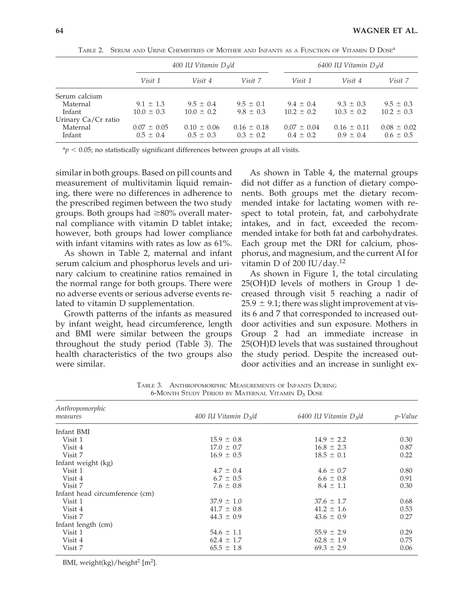|                     |                 | 400 IU Vitamin $D_3/d$ |                 | 6400 IU Vitamin $D_3/d$ |                 |                 |
|---------------------|-----------------|------------------------|-----------------|-------------------------|-----------------|-----------------|
|                     | Visit 1         | Visit 4                | Visit 7         | Visit 1                 | Visit 4         | Visit 7         |
| Serum calcium       |                 |                        |                 |                         |                 |                 |
| Maternal            | $9.1 \pm 1.3$   | $9.5 \pm 0.4$          | $9.5 \pm 0.1$   | $9.4 \pm 0.4$           | $9.3 \pm 0.3$   | $9.5 \pm 0.3$   |
| Infant              | $10.0 \pm 0.3$  | $10.0 \pm 0.2$         | $9.8 \pm 0.3$   | $10.2 \pm 0.2$          | $10.3 \pm 0.2$  | $10.2 \pm 0.3$  |
| Urinary Ca/Cr ratio |                 |                        |                 |                         |                 |                 |
| Maternal            | $0.07 \pm 0.05$ | $0.10 \pm 0.06$        | $0.16 \pm 0.18$ | $0.07 \pm 0.04$         | $0.16 \pm 0.11$ | $0.08 \pm 0.02$ |
| Infant              | $0.5 \pm 0.4$   | $0.5 \pm 0.3$          | $0.3 \pm 0.2$   | $0.4 \pm 0.2$           | $0.9 \pm 0.4$   | $0.6 \pm 0.5$   |

TABLE 2. SERUM AND URINE CHEMISTRIES OF MOTHER AND INFANTS AS A FUNCTION OF VITAMIN D DOSEa

 $a_p < 0.05$ ; no statistically significant differences between groups at all visits.

similar in both groups. Based on pill counts and measurement of multivitamin liquid remaining, there were no differences in adherence to the prescribed regimen between the two study groups. Both groups had  $\geq$ 80% overall maternal compliance with vitamin D tablet intake; however, both groups had lower compliance with infant vitamins with rates as low as 61%.

As shown in Table 2, maternal and infant serum calcium and phosphorus levels and urinary calcium to creatinine ratios remained in the normal range for both groups. There were no adverse events or serious adverse events related to vitamin D supplementation.

Growth patterns of the infants as measured by infant weight, head circumference, length and BMI were similar between the groups throughout the study period (Table 3). The health characteristics of the two groups also were similar.

As shown in Table 4, the maternal groups did not differ as a function of dietary components. Both groups met the dietary recommended intake for lactating women with respect to total protein, fat, and carbohydrate intakes, and in fact, exceeded the recommended intake for both fat and carbohydrates. Each group met the DRI for calcium, phosphorus, and magnesium, and the current AI for vitamin D of 200 IU/day.<sup>12</sup>

As shown in Figure 1, the total circulating 25(OH)D levels of mothers in Group 1 decreased through visit 5 reaching a nadir of  $25.9 \pm 9.1$ ; there was slight improvement at visits 6 and 7 that corresponded to increased outdoor activities and sun exposure. Mothers in Group 2 had an immediate increase in 25(OH)D levels that was sustained throughout the study period. Despite the increased outdoor activities and an increase in sunlight ex-

| Anthropomorphic                |                        |                         |         |  |  |
|--------------------------------|------------------------|-------------------------|---------|--|--|
| measures                       | 400 IU Vitamin $D_3/d$ | 6400 IU Vitamin $D_3/d$ | p-Value |  |  |
| Infant BMI                     |                        |                         |         |  |  |
| Visit 1                        | $15.9 \pm 0.8$         | $14.9 \pm 2.2$          | 0.30    |  |  |
| Visit 4                        | $17.0 \pm 0.7$         | $16.8 \pm 2.3$          | 0.87    |  |  |
| Visit 7                        | $16.9 \pm 0.5$         | $18.5 \pm 0.1$          | 0.22    |  |  |
| Infant weight (kg)             |                        |                         |         |  |  |
| Visit 1                        | $4.7 \pm 0.4$          | $4.6 \pm 0.7$           | 0.80    |  |  |
| Visit 4                        | $6.7 \pm 0.5$          | $6.6 \pm 0.8$           | 0.91    |  |  |
| Visit 7                        | $7.6 \pm 0.8$          | $8.4 \pm 1.1$           | 0.30    |  |  |
| Infant head circumference (cm) |                        |                         |         |  |  |
| Visit 1                        | $37.9 \pm 1.0$         | $37.6 \pm 1.7$          | 0.68    |  |  |
| Visit 4                        | $41.7 \pm 0.8$         | $41.2 \pm 1.6$          | 0.53    |  |  |
| Visit 7                        | $44.3 \pm 0.9$         | $43.6 \pm 0.9$          | 0.27    |  |  |
| Infant length (cm)             |                        |                         |         |  |  |
| Visit 1                        | $54.6 \pm 1.1$         | $55.9 \pm 2.9$          | 0.29    |  |  |
| Visit 4                        | $62.4 \pm 1.7$         | $62.8 \pm 1.9$          | 0.75    |  |  |
| Visit 7                        | $65.5 \pm 1.8$         | $69.3 \pm 2.9$          | 0.06    |  |  |

TABLE 3. ANTHROPOMORPHIC MEASUREMENTS OF INFANTS DURING 6-MONTH STUDY PERIOD BY MATERNAL VITAMIN D3 DOSE

BMI, weight(kg)/height2 [m2].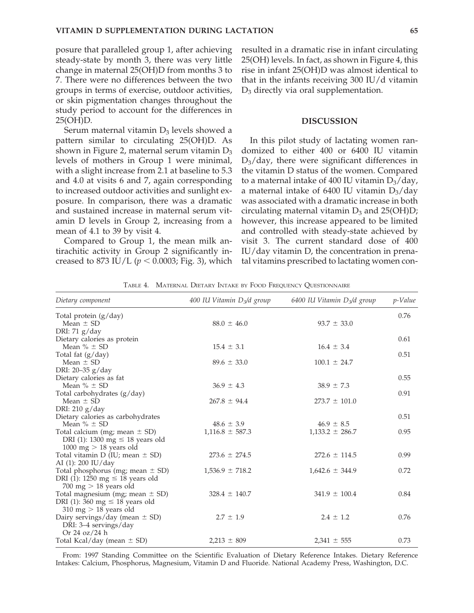posure that paralleled group 1, after achieving steady-state by month 3, there was very little change in maternal 25(OH)D from months 3 to 7. There were no differences between the two groups in terms of exercise, outdoor activities, or skin pigmentation changes throughout the study period to account for the differences in 25(OH)D.

Serum maternal vitamin  $D_3$  levels showed a pattern similar to circulating 25(OH)D. As shown in Figure 2, maternal serum vitamin  $D_3$ levels of mothers in Group 1 were minimal, with a slight increase from 2.1 at baseline to 5.3 and 4.0 at visits 6 and 7, again corresponding to increased outdoor activities and sunlight exposure. In comparison, there was a dramatic and sustained increase in maternal serum vitamin D levels in Group 2, increasing from a mean of 4.1 to 39 by visit 4.

Compared to Group 1, the mean milk antirachitic activity in Group 2 significantly increased to 873 IU/L ( $p < 0.0003$ ; Fig. 3), which resulted in a dramatic rise in infant circulating 25(OH) levels. In fact, as shown in Figure 4, this rise in infant 25(OH)D was almost identical to that in the infants receiving 300 IU/d vitamin  $D_3$  directly via oral supplementation.

### **DISCUSSION**

In this pilot study of lactating women randomized to either 400 or 6400 IU vitamin  $D_3$ /day, there were significant differences in the vitamin D status of the women. Compared to a maternal intake of 400 IU vitamin  $D_3$ /day, a maternal intake of 6400 IU vitamin  $D_3$ /day was associated with a dramatic increase in both circulating maternal vitamin  $D_3$  and 25(OH)D; however, this increase appeared to be limited and controlled with steady-state achieved by visit 3. The current standard dose of 400 IU/day vitamin D, the concentration in prenatal vitamins prescribed to lactating women con-

| Dietary component                       | 400 IU Vitamin $D_3/d$ group | 6400 IU Vitamin $D_3/d$ group | p-Value |
|-----------------------------------------|------------------------------|-------------------------------|---------|
| Total protein (g/day)                   |                              |                               | 0.76    |
| Mean $\pm$ SD                           | $88.0 \pm 46.0$              | $93.7 \pm 33.0$               |         |
| DRI: $71 g/day$                         |                              |                               |         |
| Dietary calories as protein             |                              |                               | 0.61    |
| Mean $% \pm SD$                         | $15.4 \pm 3.1$               | $16.4 \pm 3.4$                |         |
| Total fat (g/day)                       |                              |                               | 0.51    |
| Mean $\pm$ SD                           | $89.6 \pm 33.0$              | $100.1 \pm 24.7$              |         |
| DRI: 20-35 g/day                        |                              |                               |         |
| Dietary calories as fat                 |                              |                               | 0.55    |
| Mean $% \pm SD$                         | $36.9 \pm 4.3$               | $38.9 \pm 7.3$                |         |
| Total carbohydrates (g/day)             |                              |                               | 0.91    |
| Mean $\pm$ SD                           | $267.8 \pm 94.4$             | $273.7 \pm 101.0$             |         |
| DRI: 210 g/day                          |                              |                               |         |
| Dietary calories as carbohydrates       |                              |                               | 0.51    |
| Mean $% \pm SD$                         | $48.6 \pm 3.9$               | $46.9 \pm 8.5$                |         |
| Total calcium (mg; mean ± SD)           | $1,116.8 \pm 587.3$          | $1,133.2 \pm 286.7$           | 0.95    |
| DRI (1): 1300 mg $\leq$ 18 years old    |                              |                               |         |
| 1000 mg $> 18$ years old                |                              |                               |         |
| Total vitamin $D$ (IU; mean $\pm$ SD)   | $273.6 \pm 274.5$            | $272.6 \pm 114.5$             | 0.99    |
| AI (1): 200 IU/day                      |                              |                               |         |
| Total phosphorus (mg; mean $\pm$ SD)    | $1,536.9 \pm 718.2$          | $1,642.6 \pm 344.9$           | 0.72    |
| DRI (1): 1250 mg $\leq$ 18 years old    |                              |                               |         |
| $700 \text{ mg} > 18 \text{ years}$ old |                              |                               |         |
| Total magnesium (mg; mean $\pm$ SD)     | $328.4 \pm 140.7$            | $341.9 \pm 100.4$             | 0.84    |
| DRI (1): 360 mg $\leq$ 18 years old     |                              |                               |         |
| $310 \text{ mg} > 18 \text{ years}$ old |                              |                               |         |
| Dairy servings/day (mean $\pm$ SD)      | $2.7 \pm 1.9$                | $2.4 \pm 1.2$                 | 0.76    |
| DRI: 3-4 servings/day                   |                              |                               |         |
| Or $24 \text{ oz}/24 \text{ h}$         |                              |                               |         |
| Total Kcal/day (mean $\pm$ SD)          | $2,213 \pm 809$              | $2,341 \pm 555$               | 0.73    |

TABLE 4. MATERNAL DIETARY INTAKE BY FOOD FREQUENCY QUESTIONNAIRE

From: 1997 Standing Committee on the Scientific Evaluation of Dietary Reference Intakes. Dietary Reference Intakes: Calcium, Phosphorus, Magnesium, Vitamin D and Fluoride. National Academy Press, Washington, D.C.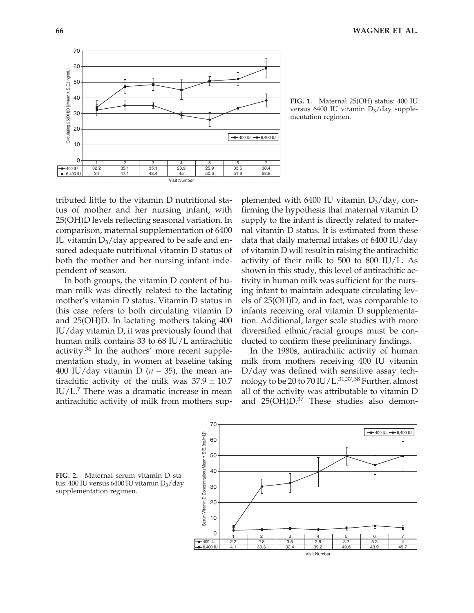

**FIG. 1.** Maternal 25(OH) status: 400 IU versus 6400 IU vitamin  $D_3$ /day supplementation regimen.

tributed little to the vitamin D nutritional status of mother and her nursing infant, with 25(OH)D levels reflecting seasonal variation. In comparison, maternal supplementation of 6400 IU vitamin  $D_3$ /day appeared to be safe and ensured adequate nutritional vitamin D status of both the mother and her nursing infant independent of season.

In both groups, the vitamin D content of human milk was directly related to the lactating mother's vitamin D status. Vitamin D status in this case refers to both circulating vitamin D and 25(OH)D. In lactating mothers taking 400 IU/day vitamin D, it was previously found that human milk contains 33 to 68 IU/L antirachitic activity.36 In the authors' more recent supplementation study, in women at baseline taking 400 IU/day vitamin D ( $n = 35$ ), the mean antirachitic activity of the milk was  $37.9 \pm 10.7$ IU/L.7 There was a dramatic increase in mean antirachitic activity of milk from mothers sup-

plemented with 6400 IU vitamin  $D_3$ /day, confirming the hypothesis that maternal vitamin D supply to the infant is directly related to maternal vitamin D status. It is estimated from these data that daily maternal intakes of 6400 IU/day of vitamin D will result in raising the antirachitic activity of their milk to 500 to 800 IU/L. As shown in this study, this level of antirachitic activity in human milk was sufficient for the nursing infant to maintain adequate circulating levels of 25(OH)D, and in fact, was comparable to infants receiving oral vitamin D supplementation. Additional, larger scale studies with more diversified ethnic/racial groups must be conducted to confirm these preliminary findings.

In the 1980s, antirachitic activity of human milk from mothers receiving 400 IU vitamin D/day was defined with sensitive assay technology to be 20 to 70 IU/L. $31,37,38$  Further, almost all of the activity was attributable to vitamin D and 25(OH)D.<sup>37</sup> These studies also demon-



**FIG. 2.** Maternal serum vitamin D status: 400 IU versus 6400 IU vitamin  $D_3/day$ supplementation regimen.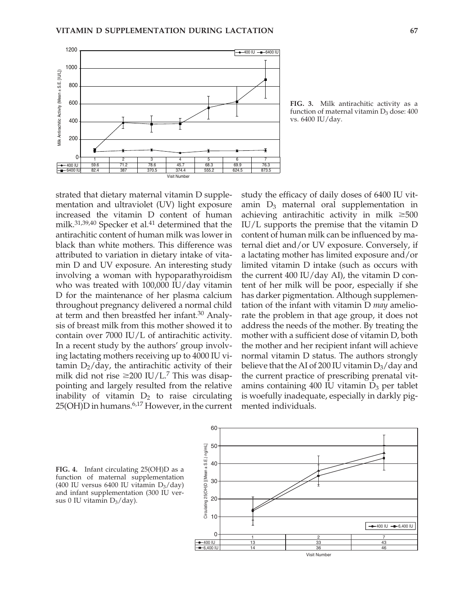

**FIG. 3.** Milk antirachitic activity as a function of maternal vitamin  $D_3$  dose: 400 vs. 6400 IU/day.

strated that dietary maternal vitamin D supplementation and ultraviolet (UV) light exposure increased the vitamin D content of human milk. $31,39,40$  Specker et al. $41$  determined that the antirachitic content of human milk was lower in black than white mothers. This difference was attributed to variation in dietary intake of vitamin D and UV exposure. An interesting study involving a woman with hypoparathyroidism who was treated with 100,000 IU/day vitamin D for the maintenance of her plasma calcium throughout pregnancy delivered a normal child at term and then breastfed her infant.<sup>30</sup> Analysis of breast milk from this mother showed it to contain over 7000 IU/L of antirachitic activity. In a recent study by the authors' group involving lactating mothers receiving up to 4000 IU vitamin  $D_2$ /day, the antirachitic activity of their milk did not rise  $\geq$ 200 IU/L.<sup>7</sup> This was disappointing and largely resulted from the relative inability of vitamin  $D_2$  to raise circulating 25(OH)D in humans.6,17 However, in the current

60

study the efficacy of daily doses of 6400 IU vitamin  $D_3$  maternal oral supplementation in achieving antirachitic activity in milk  $\geq 500$ IU/L supports the premise that the vitamin D content of human milk can be influenced by maternal diet and/or UV exposure. Conversely, if a lactating mother has limited exposure and/or limited vitamin D intake (such as occurs with the current 400 IU/day AI), the vitamin D content of her milk will be poor, especially if she has darker pigmentation. Although supplementation of the infant with vitamin D *may* ameliorate the problem in that age group, it does not address the needs of the mother. By treating the mother with a sufficient dose of vitamin D, both the mother and her recipient infant will achieve normal vitamin D status. The authors strongly believe that the AI of 200 IU vitamin  $D_3$ /day and the current practice of prescribing prenatal vitamins containing  $400$  IU vitamin  $D_3$  per tablet is woefully inadequate, especially in darkly pigmented individuals.



**FIG. 4.** Infant circulating 25(OH)D as a function of maternal supplementation (400 IU versus 6400 IU vitamin  $D_3$ /day) and infant supplementation (300 IU versus 0 IU vitamin  $D_3$ /day).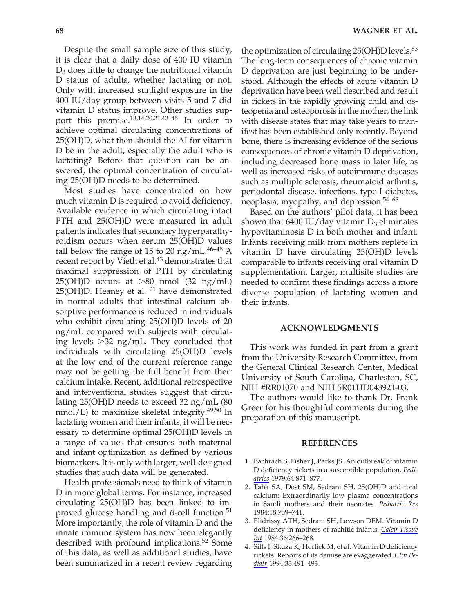Despite the small sample size of this study, it is clear that a daily dose of 400 IU vitamin  $D_3$  does little to change the nutritional vitamin D status of adults, whether lactating or not. Only with increased sunlight exposure in the 400 IU/day group between visits 5 and 7 did vitamin D status improve. Other studies support this premise.13,14,20,21,42–45 In order to achieve optimal circulating concentrations of 25(OH)D, what then should the AI for vitamin D be in the adult, especially the adult who is lactating? Before that question can be answered, the optimal concentration of circulating 25(OH)D needs to be determined.

Most studies have concentrated on how much vitamin D is required to avoid deficiency. Available evidence in which circulating intact PTH and 25(OH)D were measured in adult patients indicates that secondary hyperparathyroidism occurs when serum 25(OH)D values fall below the range of 15 to 20 ng/mL.<sup>46–48</sup> A recent report by Vieth et al.<sup>43</sup> demonstrates that maximal suppression of PTH by circulating  $25(OH)D$  occurs at  $>80$  nmol (32 ng/mL)  $25(OH)D$ . Heaney et al. <sup>21</sup> have demonstrated in normal adults that intestinal calcium absorptive performance is reduced in individuals who exhibit circulating 25(OH)D levels of 20 ng/mL compared with subjects with circulating levels  $>32$  ng/mL. They concluded that individuals with circulating 25(OH)D levels at the low end of the current reference range may not be getting the full benefit from their calcium intake. Recent, additional retrospective and interventional studies suggest that circulating 25(OH)D needs to exceed 32 ng/mL (80 nmol/L) to maximize skeletal integrity.49,50 In lactating women and their infants, it will be necessary to determine optimal 25(OH)D levels in a range of values that ensures both maternal and infant optimization as defined by various biomarkers. It is only with larger, well-designed studies that such data will be generated.

Health professionals need to think of vitamin D in more global terms. For instance, increased circulating 25(OH)D has been linked to improved glucose handling and  $\beta$ -cell function.<sup>51</sup> More importantly, the role of vitamin D and the innate immune system has now been elegantly described with profound implications.<sup>52</sup> Some of this data, as well as additional studies, have been summarized in a recent review regarding

the optimization of circulating 25(OH)D levels.<sup>53</sup> The long-term consequences of chronic vitamin D deprivation are just beginning to be understood. Although the effects of acute vitamin D deprivation have been well described and result in rickets in the rapidly growing child and osteopenia and osteoporosis in the mother, the link with disease states that may take years to manifest has been established only recently. Beyond bone, there is increasing evidence of the serious consequences of chronic vitamin D deprivation, including decreased bone mass in later life, as well as increased risks of autoimmune diseases such as multiple sclerosis, rheumatoid arthritis, periodontal disease, infections, type I diabetes, neoplasia, myopathy, and depression.<sup>54–68</sup>

Based on the authors' pilot data, it has been shown that 6400 IU/day vitamin  $D_3$  eliminates hypovitaminosis D in both mother and infant. Infants receiving milk from mothers replete in vitamin D have circulating 25(OH)D levels comparable to infants receiving oral vitamin D supplementation. Larger, multisite studies are needed to confirm these findings across a more diverse population of lactating women and their infants.

#### **ACKNOWLEDGMENTS**

This work was funded in part from a grant from the University Research Committee, from the General Clinical Research Center, Medical University of South Carolina, Charleston, SC, NIH #RR01070 and NIH 5R01HD043921-03.

The authors would like to thank Dr. Frank Greer for his thoughtful comments during the preparation of this manuscript.

#### **REFERENCES**

- 1. Bachrach S, Fisher J, Parks JS. An outbreak of vitamin D deficiency rickets in a susceptible population. *Pediatrics* 1979;64:871–877.
- 2. Taha SA, Dost SM, Sedrani SH. 25(OH)D and total calcium: Extraordinarily low plasma concentrations in Saudi mothers and their neonates. *Pediatric Res* 1984;18:739–741.
- 3. Elidrissy ATH, Sedrani SH, Lawson DEM. Vitamin D deficiency in mothers of rachitic infants. *Calcif Tissue Int* 1984;36:266–268.
- 4. Sills I, Skuza K, Horlick M, et al. Vitamin D deficiency rickets. Reports of its demise are exaggerated. *Clin Pediatr* 1994;33:491–493.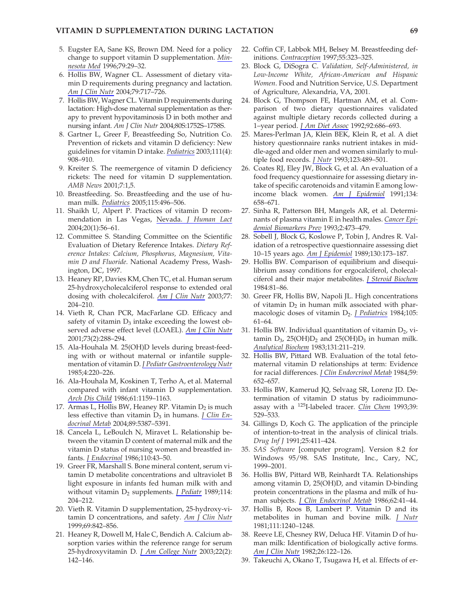#### **VITAMIN D SUPPLEMENTATION DURING LACTATION 69**

- 5. Eugster EA, Sane KS, Brown DM. Need for a policy change to support vitamin D supplementation. *Minnesota Med* 1996;79:29–32.
- 6. Hollis BW, Wagner CL. Assessment of dietary vitamin D requirements during pregnancy and lactation. *Am J Clin Nutr* 2004;79:717–726.
- 7. Hollis BW, Wagner CL. Vitamin D requirements during lactation: High-dose maternal supplementation as therapy to prevent hypovitaminosis D in both mother and nursing infant. *Am J Clin Nutr* 2004;80S:1752S–1758S.
- 8. Gartner L, Greer F, Breastfeeding So, Nutrition Co. Prevention of rickets and vitamin D deficiency: New guidelines for vitamin D intake. *Pediatrics* 2003;111(4): 908–910.
- 9. Kreiter S. The reemergence of vitamin D deficiency rickets: The need for vitamin D supplementation. *AMB News* 2001;7:1,5.
- 10. Breastfeeding. So. Breastfeeding and the use of human milk. *Pediatrics* 2005;115:496–506.
- 11. Shaikh U, Alpert P. Practices of vitamin D recommendation in Las Vegas, Nevada. *J Human Lact* 2004;20(1):56–61.
- 12. Committee S. Standing Committee on the Scientific Evaluation of Dietary Reference Intakes. *Dietary Reference Intakes: Calcium, Phosphorus, Magnesium, Vitamin D and Fluoride*. National Academy Press, Washington, DC, 1997.
- 13. Heaney RP, Davies KM, Chen TC, et al. Human serum 25-hydroxycholecalciferol response to extended oral dosing with cholecalciferol. *Am J Clin Nutr* 2003;77: 204–210.
- 14. Vieth R, Chan PCR, MacFarlane GD. Efficacy and safety of vitamin  $D_3$  intake exceeding the lowest observed adverse effect level (LOAEL). *Am J Clin Nutr* 2001;73(2):288–294.
- 15. Ala-Houhala M. 25(OH)D levels during breast-feeding with or without maternal or infantile supplementation of vitamin D. *J Pediatr Gastroenterology Nutr* 1985;4:220–226.
- 16. Ala-Houhala M, Koskinen T, Terho A, et al. Maternal compared with infant vitamin D supplementation. *Arch Dis Child* 1986;61:1159–1163.
- 17. Armas L, Hollis BW, Heaney RP. Vitamin  $D_2$  is much less effective than vitamin D<sub>3</sub> in humans. *J Clin Endocrinal Metab* 2004;89:5387–5391.
- 18. Cancela L, LeBoulch N, Miravet L. Relationship between the vitamin D content of maternal milk and the vitamin D status of nursing women and breastfed infants. *J Endocrinol* 1986;110:43–50.
- 19. Greer FR, Marshall S. Bone mineral content, serum vitamin D metabolite concentrations and ultraviolet B light exposure in infants fed human milk with and without vitamin D<sub>2</sub> supplements. *J Pediatr* 1989;114: 204–212.
- 20. Vieth R. Vitamin D supplementation, 25-hydroxy-vitamin D concentrations, and safety. *Am J Clin Nutr* 1999;69:842–856.
- 21. Heaney R, Dowell M, Hale C, Bendich A. Calcium absorption varies within the reference range for serum 25-hydroxyvitamin D. *J Am College Nutr* 2003;22(2): 142–146.
- 22. Coffin CF, Labbok MH, Belsey M. Breastfeeding definitions. *Contraception* 1997;55:323–325.
- 23. Block G, DiSogra C. *Validation, Self-Administered, in Low-Income White, African-American and Hispanic Women*. Food and Nutrition Service, U.S. Department of Agriculture, Alexandria, VA, 2001.
- 24. Block G, Thompson FE, Hartman AM, et al. Comparison of two dietary questionnaires validated against multiple dietary records collected during a 1–year period. *J Am Diet Assoc* 1992;92:686–693.
- 25. Mares-Perlman JA, Klein BEK, Klein R, et al. A diet history questionnaire ranks nutrient intakes in middle-aged and older men and women similarly to multiple food records. *J Nutr* 1993;123:489–501.
- 26. Coates RJ, Eley JW, Block G, et al. An evaluation of a food frequency questionnaire for assessing dietary intake of specific carotenoids and vitamin E among lowincome black women. *Am J Epidemiol* 1991;134: 658–671.
- 27. Sinha R, Patterson BH, Mangels AR, et al. Determinants of plasma vitamin E in health males. *Cancer Epidemiol Biomarkers Prev* 1993;2:473–479.
- 28. Sobell J, Block G, Koslowe P, Tobin J, Andres R. Validation of a retrospective questionnaire assessing diet 10–15 years ago. *Am J Epidemiol* 1989;130:173–187.
- 29. Hollis BW. Comparison of equilibrium and disequilibrium assay conditions for ergocalciferol, cholecalciferol and their major metabolites. *J Steroid Biochem* 1984:81–86.
- 30. Greer FR, Hollis BW, Napoli JL. High concentrations of vitamin  $D_2$  in human milk associated with pharmacologic doses of vitamin D<sub>2</sub>. *J Pediatrics* 1984;105: 61–64.
- 31. Hollis BW. Individual quantitation of vitamin  $D_2$ , vitamin  $D_3$ , 25(OH) $D_2$  and 25(OH) $D_3$  in human milk. *Analytical Biochem* 1983;131:211–219.
- 32. Hollis BW, Pittard WB. Evaluation of the total fetomaternal vitamin D relationships at term: Evidence for racial differences. *J Clin Endorcrinol Metab* 1984;59: 652–657.
- 33. Hollis BW, Kamerud JQ, Selvaag SR, Lorenz JD. Determination of vitamin D status by radioimmunoassay with a 125I-labeled tracer. *Clin Chem* 1993;39: 529–533.
- 34. Gillings D, Koch G. The application of the principle of intention-to-treat in the analysis of clinical trials. *Drug Inf J* 1991;25:411–424.
- 35. *SAS Software* [computer program]. Version 8.2 for Windows 95/98. SAS Institute, Inc., Cary, NC, 1999–2001.
- 36. Hollis BW, Pittard WB, Reinhardt TA. Relationships among vitamin D, 25(OH)D, and vitamin D-binding protein concentrations in the plasma and milk of human subjects. *J Clin Endocrinol Metab* 1986;62:41–44.
- 37. Hollis B, Roos B, Lambert P. Vitamin D and its metabolites in human and bovine milk. *J Nutr* 1981;111:1240–1248.
- 38. Reeve LE, Chesney RW, Deluca HF. Vitamin D of human milk: Identification of biologically active forms. *Am J Clin Nutr* 1982;26:122–126.
- 39. Takeuchi A, Okano T, Tsugawa H, et al. Effects of er-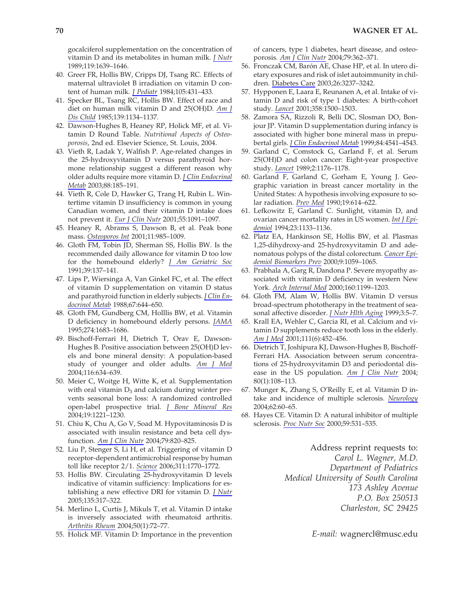gocalciferol supplementation on the concentration of vitamin D and its metabolites in human milk. *J Nutr* 1989;119:1639–1646.

- 40. Greer FR, Hollis BW, Cripps DJ, Tsang RC. Effects of maternal ultraviolet B irradiation on vitamin D content of human milk. *J Pediatr* 1984;105:431–433.
- 41. Specker BL, Tsang RC, Hollis BW. Effect of race and diet on human milk vitamin D and 25(OH)D. *Am J Dis Child* 1985;139:1134–1137.
- 42. Dawson-Hughes B, Heaney RP, Holick MF, et al. Vitamin D Round Table. *Nutritional Aspects of Osteoporosis*, 2nd ed. Elsevier Science, St. Louis, 2004.
- 43. Vieth R, Ladak Y, Walfish P. Age-related changes in the 25-hydroxyvitamin D versus parathyroid hormone relationship suggest a different reason why older adults require more vitamin D. *J Clin Endocrinal Metab* 2003;88:185–191.
- 44. Vieth R, Cole D, Hawker G, Trang H, Rubin L. Wintertime vitamin D insufficiency is common in young Canadian women, and their vitamin D intake does not prevent it. *Eur J Clin Nutr* 2001;55:1091–1097.
- 45. Heaney R, Abrams S, Dawson B, et al. Peak bone mass. *Osteoporos Int* 2001;11:985–1009.
- 46. Gloth FM, Tobin JD, Sherman SS, Hollis BW. Is the recommended daily allowance for vitamin D too low for the homebound elderly? *J Am Geriatric Soc* 1991;39:137–141.
- 47. Lips P, Wiersinga A, Van Ginkel FC, et al. The effect of vitamin D supplementation on vitamin D status and parathyroid function in elderly subjects. *J Clin Endocrinol Metab* 1988;67:644–650.
- 48. Gloth FM, Gundberg CM, Holllis BW, et al. Vitamin D deficiency in homebound elderly persons. *JAMA* 1995;274:1683–1686.
- 49. Bischoff-Ferrari H, Dietrich T, Orav E, Dawson-Hughes B. Positive association between 25(OH)D levels and bone mineral density: A population-based study of younger and older adults. *Am J Med* 2004;116:634–639.
- 50. Meier C, Woitge H, Witte K, et al. Supplementation with oral vitamin  $D_3$  and calcium during winter prevents seasonal bone loss: A randomized controlled open-label prospective trial. *J Bone Mineral Res* 2004;19:1221–1230.
- 51. Chiu K, Chu A, Go V, Soad M. Hypovitaminosis D is associated with insulin resistance and beta cell dysfunction. *Am J Clin Nutr* 2004;79:820–825.
- 52. Liu P, Stenger S, Li H, et al. Triggering of vitamin D receptor-dependent antimicrobial response by human toll like receptor 2/1. *Science* 2006;311:1770–1772.
- 53. Hollis BW. Circulating 25-hydroxyvitamin D levels indicative of vitamin sufficiency: Implications for establishing a new effective DRI for vitamin D. *J Nutr* 2005;135:317–322.
- 54. Merlino L, Curtis J, Mikuls T, et al. Vitamin D intake is inversely associated with rheumatoid arthritis. *Arthritis Rheum* 2004;50(1):72–77.
- 55. Holick MF. Vitamin D: Importance in the prevention

of cancers, type 1 diabetes, heart disease, and osteoporosis. *Am J Clin Nutr* 2004;79:362–371.

- 56. Fronczak CM, Barón AE, Chase HP, et al. In utero dietary exposures and risk of islet autoimmunity in children. Diabetes Care 2003;26:3237–3242.
- 57. Hypponen E, Laara E, Reunanen A, et al. Intake of vitamin D and risk of type 1 diabetes: A birth-cohort study. *Lancet* 2001;358:1500–1503.
- 58. Zamora SA, Rizzoli R, Belli DC, Slosman DO, Bonjour JP. Vitamin D supplementation during infancy is associated with higher bone mineral mass in prepubertal girls. *J Clin Endocrinol Metab* 1999;84:4541–4543.
- 59. Garland C, Comstock G, Garland F, et al. Serum 25(OH)D and colon cancer: Eight-year prospective study. *Lancet* 1989;2:1176–1178.
- 60. Garland F, Garland C, Gorham E, Young J. Geographic variation in breast cancer mortality in the United States: A hypothesis involving exposure to solar radiation. *Prev Med* 1990;19:614–622.
- 61. Lefkowitz E, Garland C. Sunlight, vitamin D, and ovarian cancer mortality rates in US women. *Int J Epidemiol* 1994;23:1133–1136.
- 62. Platz EA, Hankinson SE, Hollis BW, et al. Plasmas 1,25-dihydroxy-and 25-hydroxyvitamin D and adenomatous polyps of the distal colorectum. *Cancer Epidemiol Biomarkers Prev* 2000;9:1059–1065.
- 63. Prabhala A, Garg R, Dandona P. Severe myopathy associated with vitamin D deficiency in western New York. *Arch Internal Med* 2000;160:1199–1203.
- 64. Gloth FM, Alam W, Hollis BW. Vitamin D versus broad-spectrum phototherapy in the treatment of seasonal affective disorder. *J Nutr Hlth Aging* 1999;3:5–7.
- 65. Krall EA, Wehler C, Garcia RI, et al. Calcium and vitamin D supplements reduce tooth loss in the elderly. *Am J Med* 2001;111(6):452–456.
- 66. Dietrich T, Joshipura KJ, Dawson-Hughes B, Bischoff-Ferrari HA. Association between serum concentrations of 25-hydroxyvitamin D3 and periodontal disease in the US population. *Am J Clin Nutr* 2004; 80(1):108–113.
- 67. Munger K, Zhang S, O'Reilly E, et al. Vitamin D intake and incidence of multiple sclerosis. *Neurology* 2004;62:60–65.
- 68. Hayes CE. Vitamin D: A natural inhibitor of multiple sclerosis. *Proc Nutr Soc* 2000;59:531–535.

Address reprint requests to: *Carol L. Wagner, M.D. Department of Pediatrics Medical University of South Carolina 173 Ashley Avenue P.O. Box 250513 Charleston, SC 29425*

*E-mail:* wagnercl@musc.edu